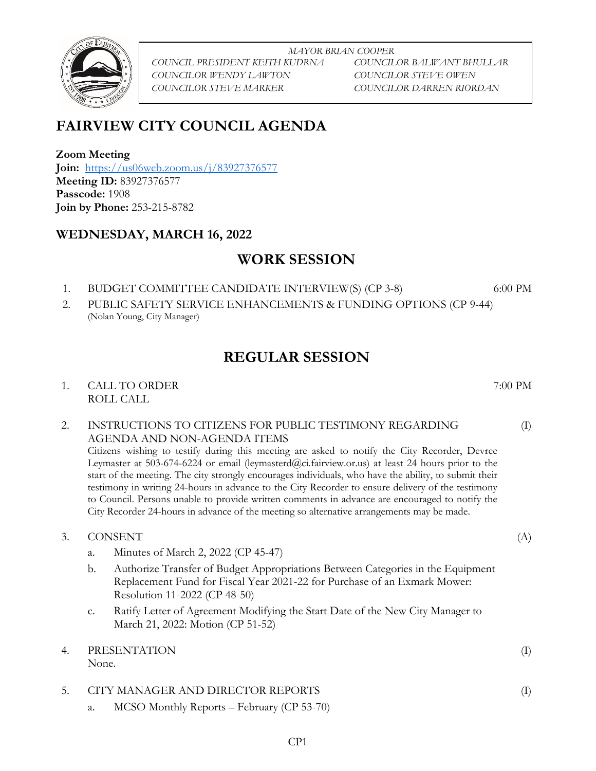

*MAYOR BRIAN COOPER COUNCIL PRESIDENT KEITH KUDRNA COUNCILOR BALWANT BHULLAR COUNCILOR WENDY LAWTON COUNCILOR STEVE OWEN COUNCILOR STEVE MARKER COUNCILOR DARREN RIORDAN*

# **FAIRVIEW CITY COUNCIL AGENDA**

**Zoom Meeting Join:** <https://us06web.zoom.us/j/83927376577> **Meeting ID:** 83927376577 **Passcode:** 1908 **Join by Phone:** 253-215-8782

### **WEDNESDAY, MARCH 16, 2022**

## **WORK SESSION**

1. BUDGET COMMITTEE CANDIDATE INTERVIEW(S) (CP 3-8) 6:00 PM

2. PUBLIC SAFETY SERVICE ENHANCEMENTS & FUNDING OPTIONS (CP 9-44) (Nolan Young, City Manager)

# **REGULAR SESSION**

1. CALL TO ORDER 7:00 PM ROLL CALL

### 2. INSTRUCTIONS TO CITIZENS FOR PUBLIC TESTIMONY REGARDING AGENDA AND NON-AGENDA ITEMS

Citizens wishing to testify during this meeting are asked to notify the City Recorder, Devree Leymaster at 503-674-6224 or email (leymasterd@ci.fairview.or.us) at least 24 hours prior to the start of the meeting. The city strongly encourages individuals, who have the ability, to submit their testimony in writing 24-hours in advance to the City Recorder to ensure delivery of the testimony to Council. Persons unable to provide written comments in advance are encouraged to notify the City Recorder 24-hours in advance of the meeting so alternative arrangements may be made.

- 3. CONSENT (A)
	- a. Minutes of March 2, 2022 (CP 45-47)
	- b. Authorize Transfer of Budget Appropriations Between Categories in the Equipment Replacement Fund for Fiscal Year 2021-22 for Purchase of an Exmark Mower: Resolution 11-2022 (CP 48-50)
	- c. Ratify Letter of Agreement Modifying the Start Date of the New City Manager to March 21, 2022: Motion (CP 51-52)
- 4. PRESENTATION (I)

None.

### 5. CITY MANAGER AND DIRECTOR REPORTS (I)

a. MCSO Monthly Reports – February (CP 53-70)

(I)